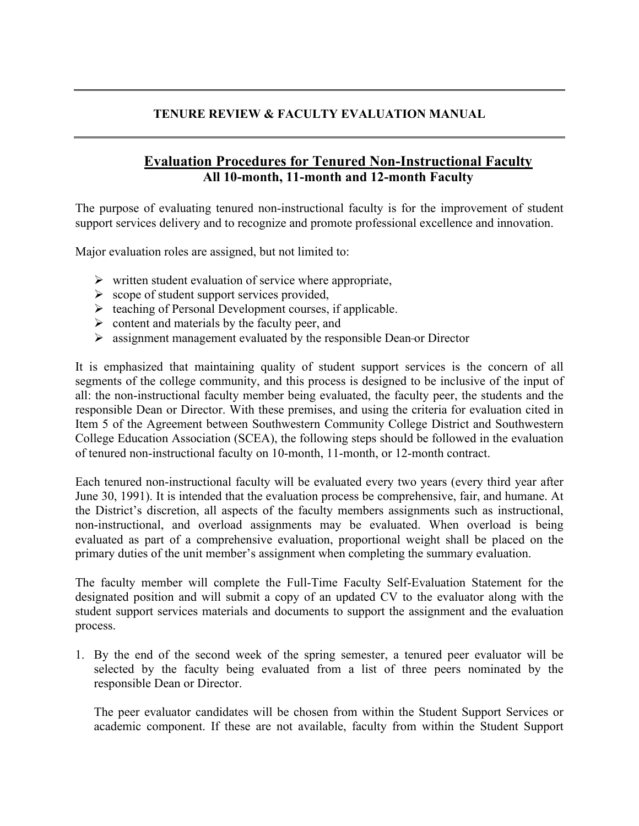## **TENURE REVIEW & FACULTY EVALUATION MANUAL**

## **Evaluation Procedures for Tenured Non-Instructional Faculty All 10-month, 11-month and 12-month Faculty**

The purpose of evaluating tenured non-instructional faculty is for the improvement of student support services delivery and to recognize and promote professional excellence and innovation.

Major evaluation roles are assigned, but not limited to:

- $\triangleright$  written student evaluation of service where appropriate,
- $\triangleright$  scope of student support services provided,
- $\triangleright$  teaching of Personal Development courses, if applicable.
- $\triangleright$  content and materials by the faculty peer, and
- $\triangleright$  assignment management evaluated by the responsible Dean-or Director

It is emphasized that maintaining quality of student support services is the concern of all segments of the college community, and this process is designed to be inclusive of the input of all: the non-instructional faculty member being evaluated, the faculty peer, the students and the responsible Dean or Director. With these premises, and using the criteria for evaluation cited in Item 5 of the Agreement between Southwestern Community College District and Southwestern College Education Association (SCEA), the following steps should be followed in the evaluation of tenured non-instructional faculty on 10-month, 11-month, or 12-month contract.

Each tenured non-instructional faculty will be evaluated every two years (every third year after June 30, 1991). It is intended that the evaluation process be comprehensive, fair, and humane. At the District's discretion, all aspects of the faculty members assignments such as instructional, non-instructional, and overload assignments may be evaluated. When overload is being evaluated as part of a comprehensive evaluation, proportional weight shall be placed on the primary duties of the unit member's assignment when completing the summary evaluation.

The faculty member will complete the Full-Time Faculty Self-Evaluation Statement for the designated position and will submit a copy of an updated CV to the evaluator along with the student support services materials and documents to support the assignment and the evaluation process.

1. By the end of the second week of the spring semester, a tenured peer evaluator will be selected by the faculty being evaluated from a list of three peers nominated by the responsible Dean or Director.

The peer evaluator candidates will be chosen from within the Student Support Services or academic component. If these are not available, faculty from within the Student Support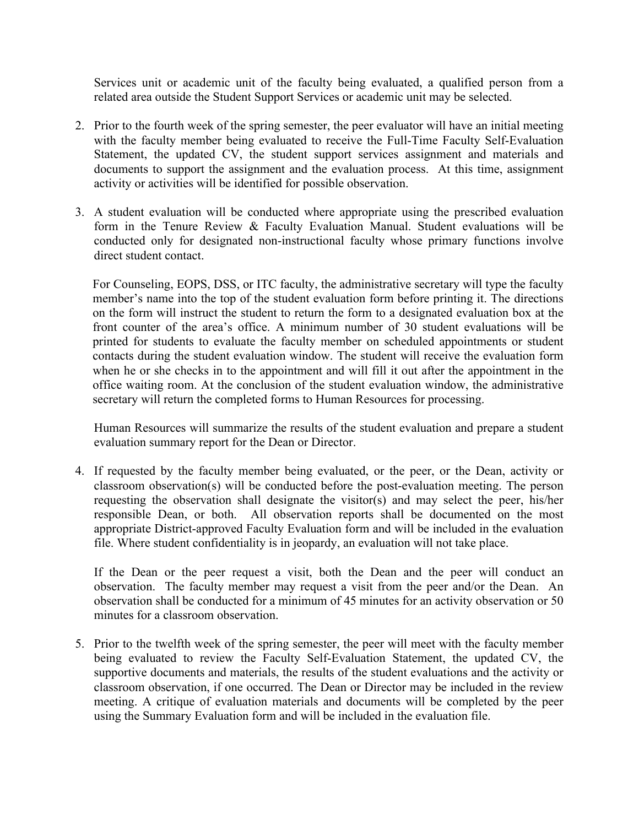Services unit or academic unit of the faculty being evaluated, a qualified person from a related area outside the Student Support Services or academic unit may be selected.

- 2. Prior to the fourth week of the spring semester, the peer evaluator will have an initial meeting with the faculty member being evaluated to receive the Full-Time Faculty Self-Evaluation Statement, the updated CV, the student support services assignment and materials and documents to support the assignment and the evaluation process. At this time, assignment activity or activities will be identified for possible observation.
- 3. A student evaluation will be conducted where appropriate using the prescribed evaluation form in the Tenure Review & Faculty Evaluation Manual. Student evaluations will be conducted only for designated non-instructional faculty whose primary functions involve direct student contact.

For Counseling, EOPS, DSS, or ITC faculty, the administrative secretary will type the faculty member's name into the top of the student evaluation form before printing it. The directions on the form will instruct the student to return the form to a designated evaluation box at the front counter of the area's office. A minimum number of 30 student evaluations will be printed for students to evaluate the faculty member on scheduled appointments or student contacts during the student evaluation window. The student will receive the evaluation form when he or she checks in to the appointment and will fill it out after the appointment in the office waiting room. At the conclusion of the student evaluation window, the administrative secretary will return the completed forms to Human Resources for processing.

Human Resources will summarize the results of the student evaluation and prepare a student evaluation summary report for the Dean or Director.

4. If requested by the faculty member being evaluated, or the peer, or the Dean, activity or classroom observation(s) will be conducted before the post-evaluation meeting. The person requesting the observation shall designate the visitor(s) and may select the peer, his/her responsible Dean, or both. All observation reports shall be documented on the most appropriate District-approved Faculty Evaluation form and will be included in the evaluation file. Where student confidentiality is in jeopardy, an evaluation will not take place.

If the Dean or the peer request a visit, both the Dean and the peer will conduct an observation. The faculty member may request a visit from the peer and/or the Dean. An observation shall be conducted for a minimum of 45 minutes for an activity observation or 50 minutes for a classroom observation.

5. Prior to the twelfth week of the spring semester, the peer will meet with the faculty member being evaluated to review the Faculty Self-Evaluation Statement, the updated CV, the supportive documents and materials, the results of the student evaluations and the activity or classroom observation, if one occurred. The Dean or Director may be included in the review meeting. A critique of evaluation materials and documents will be completed by the peer using the Summary Evaluation form and will be included in the evaluation file.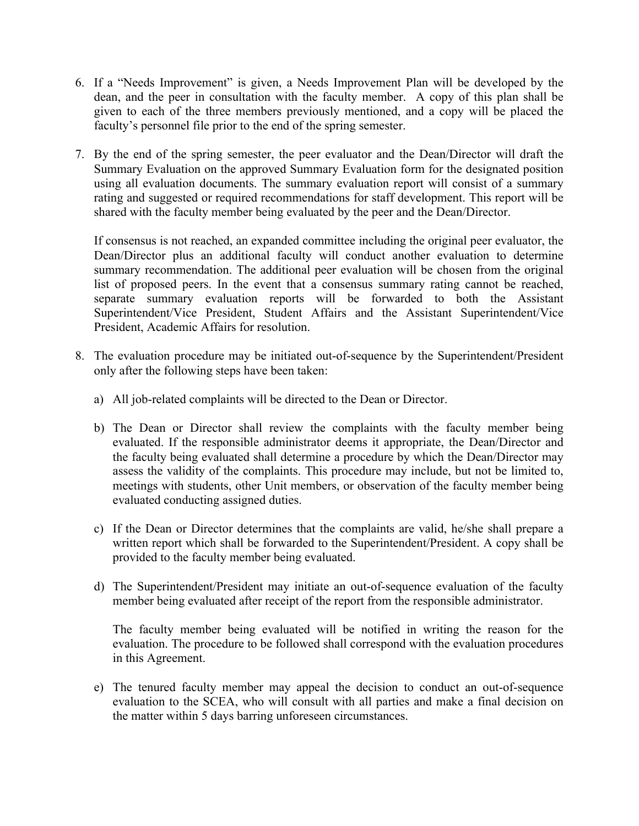- 6. If a "Needs Improvement" is given, a Needs Improvement Plan will be developed by the dean, and the peer in consultation with the faculty member. A copy of this plan shall be given to each of the three members previously mentioned, and a copy will be placed the faculty's personnel file prior to the end of the spring semester.
- 7. By the end of the spring semester, the peer evaluator and the Dean/Director will draft the Summary Evaluation on the approved Summary Evaluation form for the designated position using all evaluation documents. The summary evaluation report will consist of a summary rating and suggested or required recommendations for staff development. This report will be shared with the faculty member being evaluated by the peer and the Dean/Director.

If consensus is not reached, an expanded committee including the original peer evaluator, the Dean/Director plus an additional faculty will conduct another evaluation to determine summary recommendation. The additional peer evaluation will be chosen from the original list of proposed peers. In the event that a consensus summary rating cannot be reached, separate summary evaluation reports will be forwarded to both the Assistant Superintendent/Vice President, Student Affairs and the Assistant Superintendent/Vice President, Academic Affairs for resolution.

- 8. The evaluation procedure may be initiated out-of-sequence by the Superintendent/President only after the following steps have been taken:
	- a) All job-related complaints will be directed to the Dean or Director.
	- b) The Dean or Director shall review the complaints with the faculty member being evaluated. If the responsible administrator deems it appropriate, the Dean/Director and the faculty being evaluated shall determine a procedure by which the Dean/Director may assess the validity of the complaints. This procedure may include, but not be limited to, meetings with students, other Unit members, or observation of the faculty member being evaluated conducting assigned duties.
	- c) If the Dean or Director determines that the complaints are valid, he/she shall prepare a written report which shall be forwarded to the Superintendent/President. A copy shall be provided to the faculty member being evaluated.
	- d) The Superintendent/President may initiate an out-of-sequence evaluation of the faculty member being evaluated after receipt of the report from the responsible administrator.

The faculty member being evaluated will be notified in writing the reason for the evaluation. The procedure to be followed shall correspond with the evaluation procedures in this Agreement.

e) The tenured faculty member may appeal the decision to conduct an out-of-sequence evaluation to the SCEA, who will consult with all parties and make a final decision on the matter within 5 days barring unforeseen circumstances.